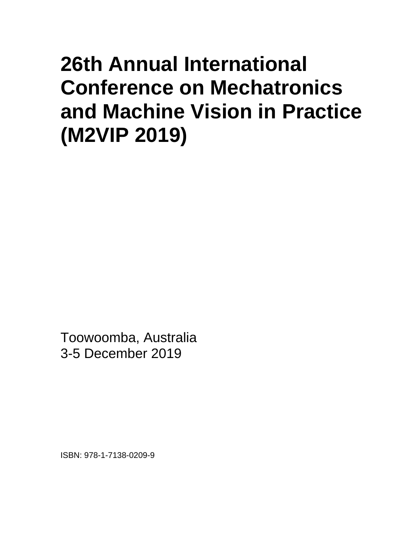## **26th Annual International Conference on Mechatronics and Machine Vision in Practice (M2VIP 2019)**

Toowoomba, Australia 3-5 December 2019

ISBN: 978-1-7138-0209-9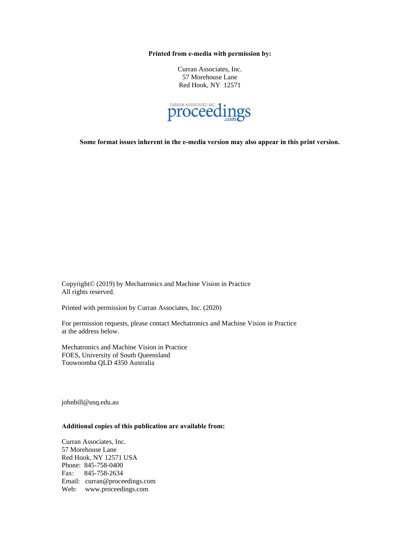**Printed from e-media with permission by:**

Curran Associates, Inc. 57 Morehouse Lane Red Hook, NY 12571



**Some format issues inherent in the e-media version may also appear in this print version.**

Copyright© (2019) by Mechatronics and Machine Vision in Practice All rights reserved.

Printed with permission by Curran Associates, Inc. (2020)

For permission requests, please contact Mechatronics and Machine Vision in Practice at the address below.

Mechatronics and Machine Vision in Practice FOES, University of South Queensland Toowoomba QLD 4350 Australia

johnbill@usq.edu.au

## **Additional copies of this publication are available from:**

Curran Associates, Inc. 57 Morehouse Lane Red Hook, NY 12571 USA Phone: 845-758-0400 Fax: 845-758-2634 Email: curran@proceedings.com Web: www.proceedings.com